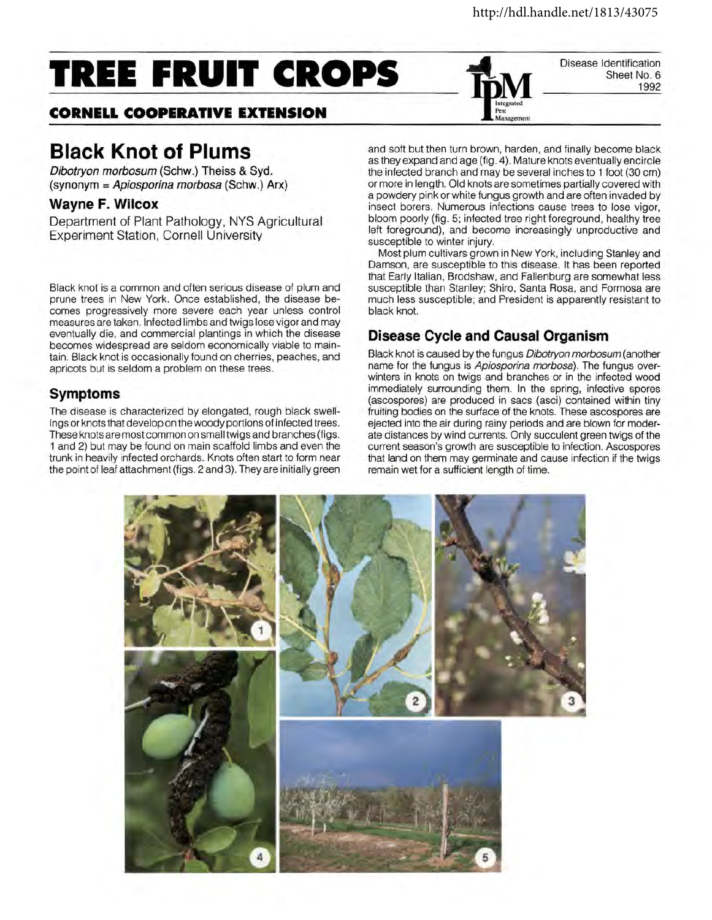Disease Identification

Sheet No. 6 1992

# **TREE FRUIT CROPS**

## **CORNELL COOPERATIVE EXTENSION**

# **Black Knot of Plums**

Dibotryon morbosum (Schw.) Theiss & Syd. (synonym= Apiosporina morbosa (Schw.) Arx)

#### **Wayne F. Wilcox**

Department of Plant Pathology, NYS Agricultural Experiment Station, Cornell University

Black knot is a common and often serious disease of plum and prune trees in New York. Once established, the disease becomes progressively more severe each year unless control measures are taken. Infected limbs and twigs lose vigor and may eventually die, and commercial plantings in which the disease becomes widespread are seldom economically viable to maintain. Black knot is occasionally found on cherries, peaches, and apricots but is seldom a problem on these trees.

#### **Symptoms**

The disease is characterized by elongated, rough black swellings or knots that develop on the woody portions of infected trees. These knots are most common on small twigs and branches (figs. 1 and 2) but may be found on main scaffold limbs and even the trunk in heavily infected orchards. Knots often start to form near the point of leaf attachment (figs. 2 and 3). They are initially green and soft but then turn brown, harden, and finally become black as they expand and age (fig. 4 ). Mature knots eventually encircle the infected branch and may be several inches to 1 foot (30 em) or more in length. Old knots are sometimes partially covered with a powdery pink or white fungus growth and are often invaded by insect borers. Numerous infections cause trees to lose vigor, bloom poorly (fig. 5; infected tree right foreground, healthy tree left foreground), and become increasingly unproductive and susceptible to winter injury.

**Pest Management** 

Most plum cultivars grown in New York, including Stanley and Damson, are susceptible to this disease. It has been reported that Early Italian, Brodshaw, and Fallenburg are somewhat less susceptible than Stanley; Shiro, Santa Rosa, and Formosa are much less susceptible; and President is apparently resistant to black knot.

### **Disease Cycle and Causal Organism**

Black knot is caused by the fungus Dibotryon morbosum (another name for the fungus is Apiosporina morbosa). The fungus overwinters in knots on twigs and branches or in the infected wood immediately surrounding them. In the spring, infective spores (ascospores) are produced in sacs (asci) contained within tiny fruiting bodies on the surface of the knots. These ascospores are ejected into the air during rainy periods and are blown for moderate distances by wind currents. Only succulent green twigs of the current season's growth are susceptible to infection. Ascospores that land on them may germinate and cause infection if the twigs remain wet for a sufficient length of time.